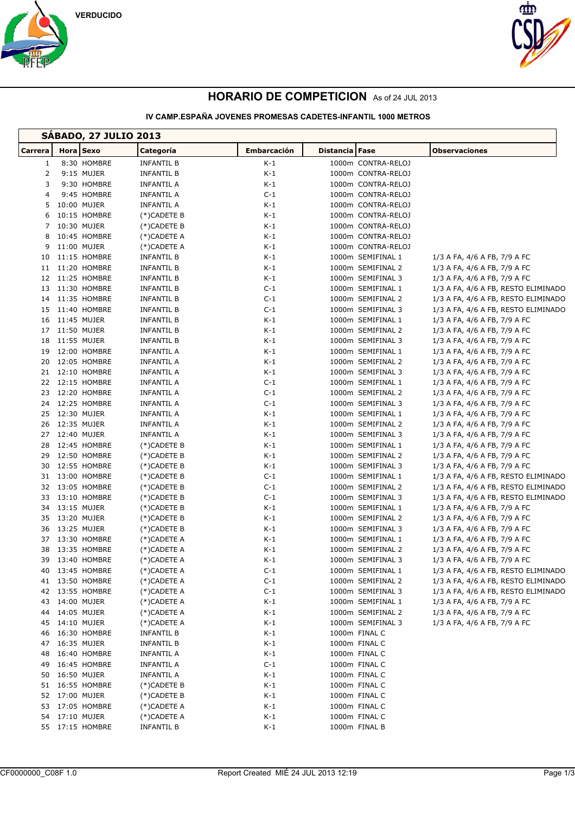





# **HORARIO DE COMPETICION** As of 24 JUL 2013

### **IV CAMP.ESPAÑA JOVENES PROMESAS CADETES-INFANTIL 1000 METROS**

| <b>SABADO, 27 JULIO 2013</b> |  |                            |                            |                    |                                        |                                                              |  |
|------------------------------|--|----------------------------|----------------------------|--------------------|----------------------------------------|--------------------------------------------------------------|--|
| Carrera                      |  | Hora Sexo                  | Categoría                  | <b>Embarcación</b> | Distancia Fase                         | <b>Observaciones</b>                                         |  |
| $\mathbf{1}$                 |  | 8:30 HOMBRE                | <b>INFANTIL B</b>          | $K-1$              | 1000m CONTRA-RELOJ                     |                                                              |  |
| 2                            |  | 9:15 MUJER                 | <b>INFANTIL B</b>          | $K-1$              | 1000m CONTRA-RELOJ                     |                                                              |  |
| 3                            |  | 9:30 HOMBRE                | <b>INFANTIL A</b>          | K-1                | 1000m CONTRA-RELOJ                     |                                                              |  |
| 4                            |  | 9:45 HOMBRE                | <b>INFANTIL A</b>          | $C-1$              | 1000m CONTRA-RELOJ                     |                                                              |  |
| 5                            |  | 10:00 MUJER                | INFANTIL A                 | K-1                | 1000m CONTRA-RELOJ                     |                                                              |  |
| 6                            |  | 10:15 HOMBRE               | (*)CADETE B                | K-1                | 1000m CONTRA-RELOJ                     |                                                              |  |
| $7^{\circ}$                  |  | 10:30 MUJER                | (*)CADETE B                | $K-1$              | 1000m CONTRA-RELOJ                     |                                                              |  |
| 8                            |  | 10:45 HOMBRE               | (*)CADETE A                | K-1                | 1000m CONTRA-RELOJ                     |                                                              |  |
| 9                            |  | 11:00 MUJER                | (*)CADETE A                | K-1                | 1000m CONTRA-RELOJ                     |                                                              |  |
| 10                           |  | 11:15 HOMBRE               | INFANTIL B                 | K-1                | 1000m SEMIFINAL 1                      | 1/3 A FA, 4/6 A FB, 7/9 A FC                                 |  |
| 11                           |  | 11:20 HOMBRE               | <b>INFANTIL B</b>          | K-1                | 1000m SEMIFINAL 2                      | 1/3 A FA, 4/6 A FB, 7/9 A FC                                 |  |
|                              |  | 12 11:25 HOMBRE            | <b>INFANTIL B</b>          | $K-1$              | 1000m SEMIFINAL 3                      | 1/3 A FA, 4/6 A FB, 7/9 A FC                                 |  |
| 13                           |  | 11:30 HOMBRE               | <b>INFANTIL B</b>          | $C-1$              | 1000m SEMIFINAL 1                      | 1/3 A FA, 4/6 A FB, RESTO ELIMINADO                          |  |
| 14                           |  | 11:35 HOMBRE               | INFANTIL B                 | $C-1$              | 1000m SEMIFINAL 2                      | 1/3 A FA, 4/6 A FB, RESTO ELIMINADO                          |  |
|                              |  | 15 11:40 HOMBRE            | INFANTIL B                 | $C-1$              | 1000m SEMIFINAL 3                      | 1/3 A FA, 4/6 A FB, RESTO ELIMINADO                          |  |
| 16                           |  | 11:45 MUJER                | <b>INFANTIL B</b>          | K-1                | 1000m SEMIFINAL 1                      | 1/3 A FA, 4/6 A FB, 7/9 A FC                                 |  |
| 17                           |  | 11:50 MUJER                | <b>INFANTIL B</b>          | K-1                | 1000m SEMIFINAL 2                      | 1/3 A FA, 4/6 A FB, 7/9 A FC                                 |  |
| 18                           |  | 11:55 MUJER                | INFANTIL B                 | K-1                | 1000m SEMIFINAL 3                      | 1/3 A FA, 4/6 A FB, 7/9 A FC                                 |  |
| 19                           |  | 12:00 HOMBRE               | <b>INFANTIL A</b>          | K-1                | 1000m SEMIFINAL 1                      | 1/3 A FA, 4/6 A FB, 7/9 A FC                                 |  |
| 20                           |  | 12:05 HOMBRE               | <b>INFANTIL A</b>          | K-1                | 1000m SEMIFINAL 2                      | 1/3 A FA, 4/6 A FB, 7/9 A FC                                 |  |
|                              |  | 21 12:10 HOMBRE            | <b>INFANTIL A</b>          | K-1                | 1000m SEMIFINAL 3                      | 1/3 A FA, 4/6 A FB, 7/9 A FC                                 |  |
|                              |  | 22 12:15 HOMBRE            | <b>INFANTIL A</b>          | $C-1$              | 1000m SEMIFINAL 1                      | 1/3 A FA, 4/6 A FB, 7/9 A FC                                 |  |
| 23                           |  | 12:20 HOMBRE               | <b>INFANTIL A</b>          | $C-1$              | 1000m SEMIFINAL 2                      | 1/3 A FA, 4/6 A FB, 7/9 A FC                                 |  |
| 24                           |  | 12:25 HOMBRE               | INFANTIL A                 | $C-1$              | 1000m SEMIFINAL 3                      | 1/3 A FA, 4/6 A FB, 7/9 A FC                                 |  |
|                              |  | 25 12:30 MUJER             | INFANTIL A                 | K-1                | 1000m SEMIFINAL 1                      | 1/3 A FA, 4/6 A FB, 7/9 A FC                                 |  |
| 26<br>27                     |  | 12:35 MUJER<br>12:40 MUJER | <b>INFANTIL A</b>          | K-1                | 1000m SEMIFINAL 2                      | 1/3 A FA, 4/6 A FB, 7/9 A FC                                 |  |
| 28                           |  | 12:45 HOMBRE               | <b>INFANTIL A</b>          | K-1<br>K-1         | 1000m SEMIFINAL 3                      | 1/3 A FA, 4/6 A FB, 7/9 A FC                                 |  |
| 29                           |  | 12:50 HOMBRE               | (*)CADETE B<br>(*)CADETE B | K-1                | 1000m SEMIFINAL 1<br>1000m SEMIFINAL 2 | 1/3 A FA, 4/6 A FB, 7/9 A FC<br>1/3 A FA, 4/6 A FB, 7/9 A FC |  |
| 30                           |  | 12:55 HOMBRE               | (*)CADETE B                | K-1                | 1000m SEMIFINAL 3                      | 1/3 A FA, 4/6 A FB, 7/9 A FC                                 |  |
|                              |  | 31 13:00 HOMBRE            | (*)CADETE B                | $C-1$              | 1000m SEMIFINAL 1                      | 1/3 A FA, 4/6 A FB, RESTO ELIMINADO                          |  |
|                              |  | 32 13:05 HOMBRE            | (*)CADETE B                | $C-1$              | 1000m SEMIFINAL 2                      | 1/3 A FA, 4/6 A FB, RESTO ELIMINADO                          |  |
| 33                           |  | 13:10 HOMBRE               | (*)CADETE B                | $C-1$              | 1000m SEMIFINAL 3                      | 1/3 A FA, 4/6 A FB, RESTO ELIMINADO                          |  |
| 34                           |  | 13:15 MUJER                | (*)CADETE B                | K-1                | 1000m SEMIFINAL 1                      | 1/3 A FA, 4/6 A FB, 7/9 A FC                                 |  |
|                              |  | 35 13:20 MUJER             | (*)CADETE B                | K-1                | 1000m SEMIFINAL 2                      | 1/3 A FA, 4/6 A FB, 7/9 A FC                                 |  |
| 36                           |  | 13:25 MUJER                | (*)CADETE B                | K-1                | 1000m SEMIFINAL 3                      | 1/3 A FA, 4/6 A FB, 7/9 A FC                                 |  |
| 37                           |  | 13:30 HOMBRE               | (*)CADETE A                | K-1                | 1000m SEMIFINAL 1                      | 1/3 A FA, 4/6 A FB, 7/9 A FC                                 |  |
| 38                           |  | 13:35 HOMBRE               | (*)CADETE A                | K-1                | 1000m SEMIFINAL 2                      | 1/3 A FA, 4/6 A FB, 7/9 A FC                                 |  |
|                              |  | 39 13:40 HOMBRE            | (*)CADETE A                | $K-1$              | 1000m SEMIFINAL 3                      | 1/3 A FA, 4/6 A FB, 7/9 A FC                                 |  |
|                              |  | 40 13:45 HOMBRE            | (*)CADETE A                | $C-1$              | 1000m SEMIFINAL 1                      | 1/3 A FA, 4/6 A FB, RESTO ELIMINADO                          |  |
|                              |  | 41 13:50 HOMBRE            | (*)CADETE A                | $C-1$              | 1000m SEMIFINAL 2                      | 1/3 A FA, 4/6 A FB, RESTO ELIMINADO                          |  |
|                              |  | 42 13:55 HOMBRE            | (*)CADETE A                | $C-1$              | 1000m SEMIFINAL 3                      | 1/3 A FA, 4/6 A FB, RESTO ELIMINADO                          |  |
|                              |  | 43 14:00 MUJER             | (*)CADETE A                | $K-1$              | 1000m SEMIFINAL 1                      | 1/3 A FA, 4/6 A FB, 7/9 A FC                                 |  |
| 44                           |  | 14:05 MUJER                | (*)CADETE A                | K-1                | 1000m SEMIFINAL 2                      | 1/3 A FA, 4/6 A FB, 7/9 A FC                                 |  |
|                              |  | 45 14:10 MUJER             | (*)CADETE A                | K-1                | 1000m SEMIFINAL 3                      | 1/3 A FA, 4/6 A FB, 7/9 A FC                                 |  |
| 46                           |  | 16:30 HOMBRE               | INFANTIL B                 | K-1                | 1000m FINAL C                          |                                                              |  |
| 47                           |  | 16:35 MUJER                | <b>INFANTIL B</b>          | K-1                | 1000m FINAL C                          |                                                              |  |
| 48                           |  | 16:40 HOMBRE               | <b>INFANTIL A</b>          | K-1                | 1000m FINAL C                          |                                                              |  |
| 49                           |  | 16:45 HOMBRE               | <b>INFANTIL A</b>          | C-1                | 1000m FINAL C                          |                                                              |  |
|                              |  | 50 16:50 MUJER             | INFANTIL A                 | K-1                | 1000m FINAL C                          |                                                              |  |
|                              |  | 51 16:55 HOMBRE            | (*)CADETE B                | K-1                | 1000m FINAL C                          |                                                              |  |
|                              |  | 52 17:00 MUJER             | (*)CADETE B                | $K-1$              | 1000m FINAL C                          |                                                              |  |
| 53                           |  | 17:05 HOMBRE               | $(*)$ CADETE A             | $K-1$              | 1000m FINAL C                          |                                                              |  |
|                              |  | 54 17:10 MUJER             | (*)CADETE A                | K-1                | 1000m FINAL C                          |                                                              |  |
|                              |  | 55 17:15 HOMBRE            | INFANTIL B                 | K-1                | 1000m FINAL B                          |                                                              |  |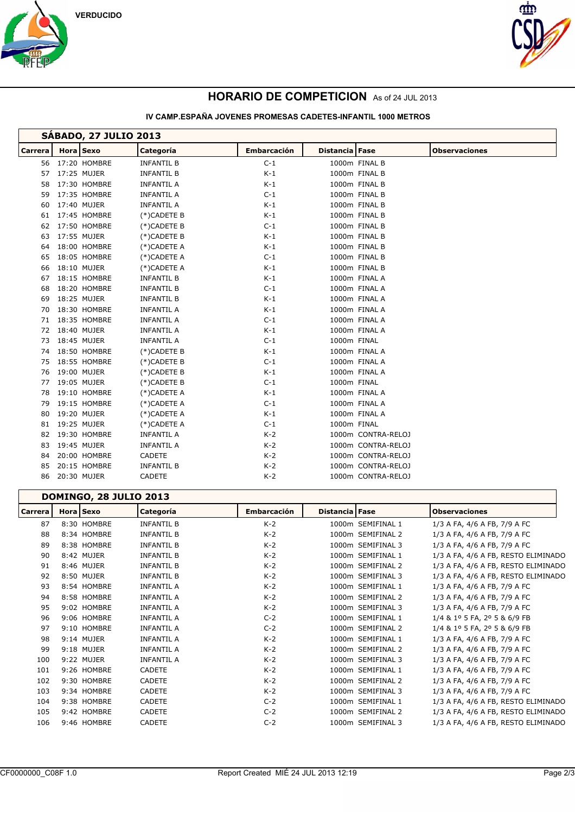



## **HORARIO DE COMPETICION** As of 24 JUL 2013

#### **IV CAMP.ESPAÑA JOVENES PROMESAS CADETES-INFANTIL 1000 METROS**

| <b>SABADO, 27 JULIO 2013</b> |           |              |                   |                    |                |                    |                      |
|------------------------------|-----------|--------------|-------------------|--------------------|----------------|--------------------|----------------------|
| <b>Carrera</b>               | Hora Sexo |              | Categoría         | <b>Embarcación</b> | Distancia Fase |                    | <b>Observaciones</b> |
| 56                           |           | 17:20 HOMBRE | <b>INFANTIL B</b> | $C-1$              |                | 1000m FINAL B      |                      |
| 57                           |           | 17:25 MUJER  | <b>INFANTIL B</b> | $K-1$              |                | 1000m FINAL B      |                      |
| 58                           |           | 17:30 HOMBRE | <b>INFANTIL A</b> | $K-1$              |                | 1000m FINAL B      |                      |
| 59                           |           | 17:35 HOMBRE | <b>INFANTIL A</b> | $C-1$              |                | 1000m FINAL B      |                      |
| 60                           |           | 17:40 MUJER  | <b>INFANTIL A</b> | $K-1$              |                | 1000m FINAL B      |                      |
| 61                           |           | 17:45 HOMBRE | $(*)$ CADETE B    | $K-1$              |                | 1000m FINAL B      |                      |
| 62                           |           | 17:50 HOMBRE | $(*)$ CADETE B    | $C-1$              |                | 1000m FINAL B      |                      |
| 63                           |           | 17:55 MUJER  | (*)CADETE B       | $K-1$              |                | 1000m FINAL B      |                      |
| 64                           |           | 18:00 HOMBRE | (*)CADETE A       | $K-1$              |                | 1000m FINAL B      |                      |
| 65                           |           | 18:05 HOMBRE | $(*)$ CADETE A    | $C-1$              |                | 1000m FINAL B      |                      |
| 66                           |           | 18:10 MUJER  | $(*)$ CADETE A    | $K-1$              |                | 1000m FINAL B      |                      |
| 67                           |           | 18:15 HOMBRE | <b>INFANTIL B</b> | $K-1$              |                | 1000m FINAL A      |                      |
| 68                           |           | 18:20 HOMBRE | <b>INFANTIL B</b> | $C-1$              |                | 1000m FINAL A      |                      |
| 69                           |           | 18:25 MUJER  | <b>INFANTIL B</b> | $K-1$              |                | 1000m FINAL A      |                      |
| 70                           |           | 18:30 HOMBRE | <b>INFANTIL A</b> | $K-1$              |                | 1000m FINAL A      |                      |
| 71                           |           | 18:35 HOMBRE | <b>INFANTIL A</b> | $C-1$              |                | 1000m FINAL A      |                      |
| 72                           |           | 18:40 MUJER  | <b>INFANTIL A</b> | $K-1$              |                | 1000m FINAL A      |                      |
| 73                           |           | 18:45 MUJER  | <b>INFANTIL A</b> | $C-1$              | 1000m FINAL    |                    |                      |
| 74                           |           | 18:50 HOMBRE | $(*)$ CADETE B    | $K-1$              |                | 1000m FINAL A      |                      |
| 75                           |           | 18:55 HOMBRE | (*)CADETE B       | $C-1$              |                | 1000m FINAL A      |                      |
| 76                           |           | 19:00 MUJER  | $(*)$ CADETE B    | $K-1$              |                | 1000m FINAL A      |                      |
| 77                           |           | 19:05 MUJER  | (*)CADETE B       | $C-1$              | 1000m FINAL    |                    |                      |
| 78                           |           | 19:10 HOMBRE | $(*)$ CADETE A    | $K-1$              |                | 1000m FINAL A      |                      |
| 79                           |           | 19:15 HOMBRE | $(*)$ CADETE A    | $C-1$              |                | 1000m FINAL A      |                      |
| 80                           |           | 19:20 MUJER  | (*)CADETE A       | $K-1$              |                | 1000m FINAL A      |                      |
| 81                           |           | 19:25 MUJER  | $(*)$ CADETE A    | $C-1$              | 1000m FINAL    |                    |                      |
| 82                           |           | 19:30 HOMBRE | <b>INFANTIL A</b> | $K-2$              |                | 1000m CONTRA-RELOJ |                      |
| 83                           |           | 19:45 MUJER  | <b>INFANTIL A</b> | $K-2$              |                | 1000m CONTRA-RELOJ |                      |
| 84                           |           | 20:00 HOMBRE | CADETE            | $K-2$              |                | 1000m CONTRA-RELOJ |                      |
| 85                           |           | 20:15 HOMBRE | <b>INFANTIL B</b> | $K-2$              |                | 1000m CONTRA-RELOJ |                      |
| 86                           |           | 20:30 MUJER  | CADETE            | $K-2$              |                | 1000m CONTRA-RELOJ |                      |

### **DOMINGO, 28 JULIO 2013 Carrera Hora Sexo Categoría Embarcación Distancia Fase Observaciones** 87 8:30 HOMBRE INFANTIL B K-2 1000m SEMIFINAL 1 1/3 A FA, 4/6 A FB, 7/9 A FC 88 8:34 HOMBRE INFANTIL B K-2 1000m SEMIFINAL 2 1/3 A FA, 4/6 A FB, 7/9 A FC 89 8:38 HOMBRE INFANTIL B K-2 1000m SEMIFINAL 3 1/3 A FA, 4/6 A FB, 7/9 A FC 90 8:42 MUJER INFANTIL B K-2 1000m SEMIFINAL 1 1/3 A FA, 4/6 A FB, RESTO ELIMINADO 91 8:46 MUJER INFANTIL B K-2 1000m SEMIFINAL 2 1/3 A FA, 4/6 A FB, RESTO ELIMINADO 92 8:50 MUJER INFANTIL B K-2 1000m SEMIFINAL 3 1/3 A FA, 4/6 A FB, RESTO ELIMINADO 93 8:54 HOMBRE INFANTIL A K-2 1000m SEMIFINAL 1 1/3 A FA, 4/6 A FB, 7/9 A FC 94 8:58 HOMBRE INFANTIL A K-2 1000m SEMIFINAL 2 1/3 A FA, 4/6 A FB, 7/9 A FC 95 9:02 HOMBRE INFANTIL A K-2 1000m SEMIFINAL 3 1/3 A FA, 4/6 A FB, 7/9 A FC 96 9:06 HOMBRE INFANTIL A C-2 1000m SEMIFINAL 1 1/4 & 1º 5 FA, 2º 5 & 6/9 FB 97 9:10 HOMBRE INFANTIL A C-2 1000m SEMIFINAL 2 1/4 & 1º 5 FA, 2º 5 & 6/9 FB 98 9:14 MUJER INFANTIL A K-2 1000m SEMIFINAL 1 1/3 A FA, 4/6 A FB, 7/9 A FC 99 9:18 MUJER INFANTIL A K-2 1000m SEMIFINAL 2 1/3 A FA, 4/6 A FB, 7/9 A FC 100 9:22 MUJER INFANTIL A K-2 1000m SEMIFINAL 3 1/3 A FA, 4/6 A FB, 7/9 A FC 101 9:26 HOMBRE CADETE K-2 1000m SEMIFINAL 1 1/3 A FA, 4/6 A FB, 7/9 A FC 102 9:30 HOMBRE CADETE K-2 1000m SEMIFINAL 2 1/3 A FA, 4/6 A FB, 7/9 A FC 103 9:34 HOMBRE CADETE K-2 1000m SEMIFINAL 3 1/3 A FA, 4/6 A FB, 7/9 A FC 104 9:38 HOMBRE CADETE C-2 1000m SEMIFINAL 1 1/3 A FA, 4/6 A FB, RESTO ELIMINADO 105 9:42 HOMBRE CADETE C-2 1000m SEMIFINAL 2 1/3 A FA, 4/6 A FB, RESTO ELIMINADO 106 9:46 HOMBRE CADETE C-2 1000m SEMIFINAL 3 1/3 A FA, 4/6 A FB, RESTO ELIMINADO